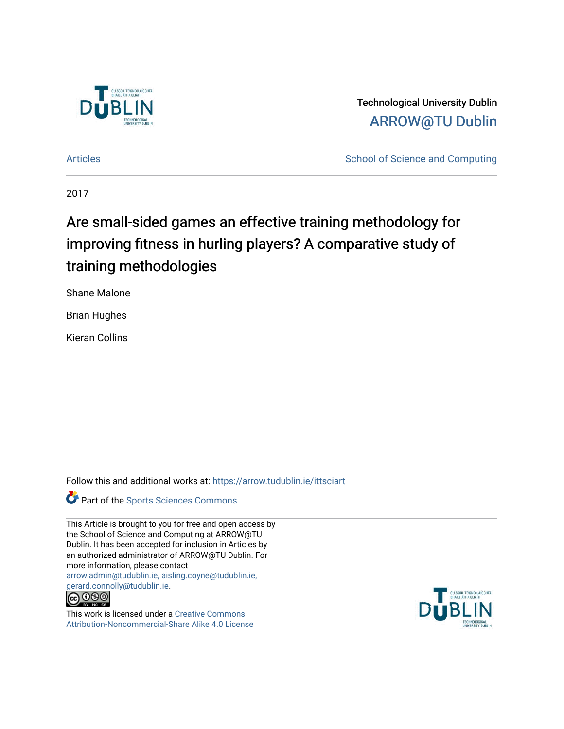

Technological University Dublin [ARROW@TU Dublin](https://arrow.tudublin.ie/) 

[Articles](https://arrow.tudublin.ie/ittsciart) **School of Science and Computing** 

2017

# Are small-sided games an effective training methodology for improving fitness in hurling players? A comparative study of training methodologies

Shane Malone

Brian Hughes

Kieran Collins

Follow this and additional works at: [https://arrow.tudublin.ie/ittsciart](https://arrow.tudublin.ie/ittsciart?utm_source=arrow.tudublin.ie%2Fittsciart%2F120&utm_medium=PDF&utm_campaign=PDFCoverPages)



This Article is brought to you for free and open access by the School of Science and Computing at ARROW@TU Dublin. It has been accepted for inclusion in Articles by an authorized administrator of ARROW@TU Dublin. For more information, please contact [arrow.admin@tudublin.ie, aisling.coyne@tudublin.ie,](mailto:arrow.admin@tudublin.ie,%20aisling.coyne@tudublin.ie,%20gerard.connolly@tudublin.ie)  [gerard.connolly@tudublin.ie](mailto:arrow.admin@tudublin.ie,%20aisling.coyne@tudublin.ie,%20gerard.connolly@tudublin.ie).



This work is licensed under a [Creative Commons](http://creativecommons.org/licenses/by-nc-sa/4.0/) [Attribution-Noncommercial-Share Alike 4.0 License](http://creativecommons.org/licenses/by-nc-sa/4.0/)

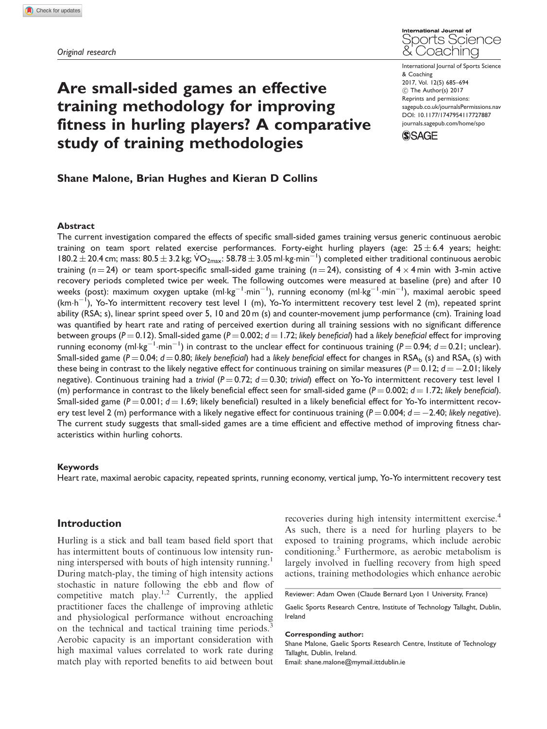

# Are small-sided games an effective training methodology for improving fitness in hurling players? A comparative study of training methodologies

#### International Journal of Sports Science & Coaching 2017, Vol. 12(5) 685–694 (C) The Author(s) 2017 Reprints and permissions: [sagepub.co.uk/journalsPermissions.nav](https://uk.sagepub.com/en-gb/journals-permissions) DOI: [10.1177/1747954117727887](https://doi.org/10.1177/1747954117727887) <journals.sagepub.com/home/spo>



# Shane Malone, Brian Hughes and Kieran D Collins

#### Abstract

The current investigation compared the effects of specific small-sided games training versus generic continuous aerobic training on team sport related exercise performances. Forty-eight hurling players (age: 25 $\pm$ 6.4 years; height:  $180.2 \pm 20.4$  cm; mass:  $80.5 \pm 3.2$  kg;  $VO_{2max}$ : 58.78  $\pm 3.05$  ml·kg·min<sup>-1</sup>) completed either traditional continuous aerobic training (n = 24) or team sport-specific small-sided game training (n = 24), consisting of  $4 \times 4$  min with 3-min active recovery periods completed twice per week. The following outcomes were measured at baseline (pre) and after 10 weeks (post): maximum oxygen uptake (ml·kg $^{-1}\cdot$ min $^{-1}$ ), running economy (ml·kg $^{-1}\cdot$ min $^{-1}$ ), maximal aerobic speed (km·h<sup>-1</sup>), Yo-Yo intermittent recovery test level 1 (m), Yo-Yo intermittent recovery test level 2 (m), repeated sprint ability (RSA; s), linear sprint speed over 5, 10 and 20 m (s) and counter-movement jump performance (cm). Training load was quantified by heart rate and rating of perceived exertion during all training sessions with no significant difference between groups ( $P = 0.12$ ). Small-sided game ( $P = 0.002$ ;  $d = 1.72$ ; likely beneficial) had a likely beneficial effect for improving running economy (ml·kg<sup>-1</sup>·min<sup>-1</sup>) in contrast to the unclear effect for continuous training (P=0.94; d=0.21; unclear). Small-sided game ( $P = 0.04$ ;  $d = 0.80$ ; likely beneficial) had a likely beneficial effect for changes in RSA<sub>b</sub> (s) and RSA<sub>t</sub> (s) with these being in contrast to the likely negative effect for continuous training on similar measures  $(P = 0.12; d = -2.01;$  likely negative). Continuous training had a trivial ( $P = 0.72$ ;  $d = 0.30$ ; trivial) effect on Yo-Yo intermittent recovery test level 1 (m) performance in contrast to the likely beneficial effect seen for small-sided game ( $P = 0.002$ ;  $d = 1.72$ ; likely beneficial). Small-sided game ( $P = 0.001$ ;  $d = 1.69$ ; likely beneficial) resulted in a likely beneficial effect for Yo-Yo intermittent recovery test level 2 (m) performance with a likely negative effect for continuous training ( $P = 0.004$ ;  $d = -2.40$ ; likely negative). The current study suggests that small-sided games are a time efficient and effective method of improving fitness characteristics within hurling cohorts.

#### Keywords

Heart rate, maximal aerobic capacity, repeated sprints, running economy, vertical jump, Yo-Yo intermittent recovery test

# Introduction

Hurling is a stick and ball team based field sport that has intermittent bouts of continuous low intensity running interspersed with bouts of high intensity running.<sup>1</sup> During match-play, the timing of high intensity actions stochastic in nature following the ebb and flow of competitive match play.<sup>1,2</sup> Currently, the applied practitioner faces the challenge of improving athletic and physiological performance without encroaching on the technical and tactical training time periods.<sup>3</sup> Aerobic capacity is an important consideration with high maximal values correlated to work rate during match play with reported benefits to aid between bout

recoveries during high intensity intermittent exercise.<sup>4</sup> As such, there is a need for hurling players to be exposed to training programs, which include aerobic conditioning.<sup>5</sup> Furthermore, as aerobic metabolism is largely involved in fuelling recovery from high speed actions, training methodologies which enhance aerobic

Reviewer: Adam Owen (Claude Bernard Lyon 1 University, France) Gaelic Sports Research Centre, Institute of Technology Tallaght, Dublin, Ireland

#### Corresponding author:

Shane Malone, Gaelic Sports Research Centre, Institute of Technology Tallaght, Dublin, Ireland. Email: shane.malone@mymail.ittdublin.ie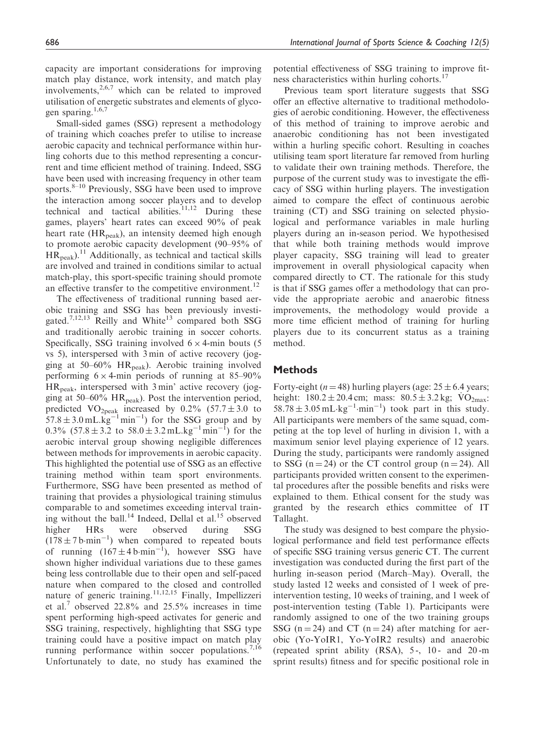capacity are important considerations for improving match play distance, work intensity, and match play involvements,  $2,6,7$  which can be related to improved utilisation of energetic substrates and elements of glycogen sparing.1,6,7

Small-sided games (SSG) represent a methodology of training which coaches prefer to utilise to increase aerobic capacity and technical performance within hurling cohorts due to this method representing a concurrent and time efficient method of training. Indeed, SSG have been used with increasing frequency in other team sports. $8-10$  Previously, SSG have been used to improve the interaction among soccer players and to develop technical and tactical abilities. $11,12$  During these games, players' heart rates can exceed 90% of peak heart rate  $(HR_{\text{peak}})$ , an intensity deemed high enough to promote aerobic capacity development (90–95% of  $HR_{peak}$ ).<sup>11</sup> Additionally, as technical and tactical skills are involved and trained in conditions similar to actual match-play, this sport-specific training should promote an effective transfer to the competitive environment.<sup>12</sup>

The effectiveness of traditional running based aerobic training and SSG has been previously investigated.<sup>7,12,13</sup> Reilly and White<sup>13</sup> compared both SSG and traditionally aerobic training in soccer cohorts. Specifically, SSG training involved  $6 \times 4$ -min bouts (5) vs 5), interspersed with 3 min of active recovery (jogging at 50–60%  $HR_{peak}$ ). Aerobic training involved performing  $6 \times 4$ -min periods of running at 85–90%  $HR_{peak}$ , interspersed with  $3 \text{ min}'$  active recovery (jogging at 50–60%  $HR_{peak}$ ). Post the intervention period, predicted VO<sub>2peak</sub> increased by  $0.2\%$  (57.7  $\pm$  3.0 to  $57.8 \pm 3.0$  mL.kg<sup>-1</sup> min<sup>-1</sup>) for the SSG group and by 0.3% (57.8 ± 3.2 to 58.0 ± 3.2 mL.kg<sup>-1</sup> min<sup>-1</sup>) for the aerobic interval group showing negligible differences between methods for improvements in aerobic capacity. This highlighted the potential use of SSG as an effective training method within team sport environments. Furthermore, SSG have been presented as method of training that provides a physiological training stimulus comparable to and sometimes exceeding interval training without the ball.<sup>14</sup> Indeed, Dellal et al.<sup>15</sup> observed higher HRs were observed during SSG  $(178 \pm 7 \text{ b} \cdot \text{min}^{-1})$  when compared to repeated bouts of running  $(167 \pm 4 \text{ b-min}^{-1})$ , however SSG have shown higher individual variations due to these games being less controllable due to their open and self-paced nature when compared to the closed and controlled nature of generic training.11,12,15 Finally, Impellizzeri et al.<sup>7</sup> observed 22.8% and 25.5% increases in time spent performing high-speed activates for generic and SSG training, respectively, highlighting that SSG type training could have a positive impact on match play running performance within soccer populations. $7,16$ Unfortunately to date, no study has examined the

potential effectiveness of SSG training to improve fitness characteristics within hurling cohorts. $17$ 

Previous team sport literature suggests that SSG offer an effective alternative to traditional methodologies of aerobic conditioning. However, the effectiveness of this method of training to improve aerobic and anaerobic conditioning has not been investigated within a hurling specific cohort. Resulting in coaches utilising team sport literature far removed from hurling to validate their own training methods. Therefore, the purpose of the current study was to investigate the efficacy of SSG within hurling players. The investigation aimed to compare the effect of continuous aerobic training (CT) and SSG training on selected physiological and performance variables in male hurling players during an in-season period. We hypothesised that while both training methods would improve player capacity, SSG training will lead to greater improvement in overall physiological capacity when compared directly to CT. The rationale for this study is that if SSG games offer a methodology that can provide the appropriate aerobic and anaerobic fitness improvements, the methodology would provide a more time efficient method of training for hurling players due to its concurrent status as a training method.

# **Methods**

Forty-eight ( $n = 48$ ) hurling players (age: 25  $\pm$  6.4 years; height:  $180.2 \pm 20.4$  cm; mass:  $80.5 \pm 3.2$  kg;  $\text{VO}_{2\text{max}}$ :  $58.78 \pm 3.05 \,\text{mL/kg}^{-1} \cdot \text{min}^{-1}$  took part in this study. All participants were members of the same squad, competing at the top level of hurling in division 1, with a maximum senior level playing experience of 12 years. During the study, participants were randomly assigned to SSG ( $n = 24$ ) or the CT control group ( $n = 24$ ). All participants provided written consent to the experimental procedures after the possible benefits and risks were explained to them. Ethical consent for the study was granted by the research ethics committee of IT Tallaght.

The study was designed to best compare the physiological performance and field test performance effects of specific SSG training versus generic CT. The current investigation was conducted during the first part of the hurling in-season period (March–May). Overall, the study lasted 12 weeks and consisted of 1 week of preintervention testing, 10 weeks of training, and 1 week of post-intervention testing (Table 1). Participants were randomly assigned to one of the two training groups SSG (n = 24) and CT (n = 24) after matching for aerobic (Yo-YoIR1, Yo-YoIR2 results) and anaerobic (repeated sprint ability (RSA), 5 -, 10 - and 20 -m sprint results) fitness and for specific positional role in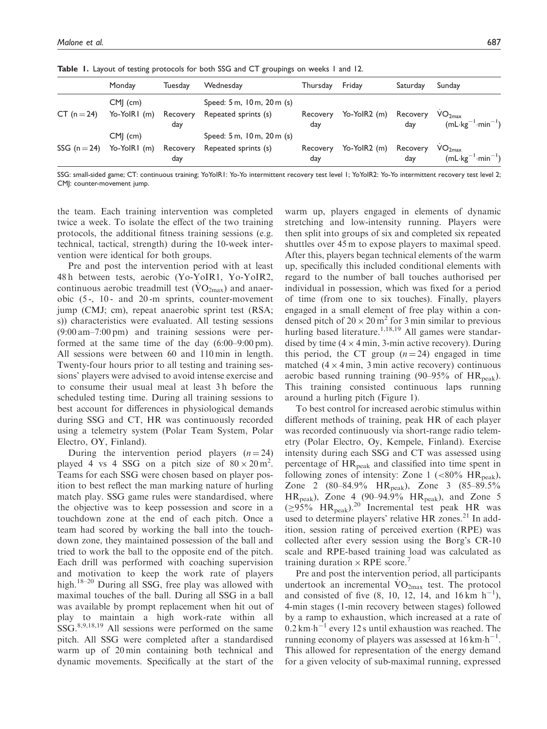| ۸.<br>aı.<br>,,,,,,,<br>71 L<br>. L<br>. | - - - |
|------------------------------------------|-------|
|                                          |       |

|               | Monday       | Tuesday         | Wednesday                  | Thursday        | Friday       | Saturday        | Sunday                                                    |
|---------------|--------------|-----------------|----------------------------|-----------------|--------------|-----------------|-----------------------------------------------------------|
|               | $CMJ$ (cm)   |                 | Speed: 5 m, 10 m, 20 m (s) |                 |              |                 |                                                           |
| $CT (n = 24)$ | Yo-YolR1 (m) | Recovery<br>day | Repeated sprints (s)       | Recovery<br>day | Yo-YolR2 (m) | Recovery<br>day | VO <sub>2max</sub><br>$(mL \cdot kg^{-1} \cdot min^{-1})$ |
|               | $CMI$ (cm)   |                 | Speed: 5 m, 10 m, 20 m (s) |                 |              |                 |                                                           |
| SSG $(n=24)$  | Yo-YolRI (m) | Recovery<br>day | Repeated sprints (s)       | Recovery<br>day | Yo-YolR2 (m) | Recovery<br>day | VO <sub>2max</sub><br>$(mL \cdot kg^{-1} \cdot min^{-1})$ |

Table 1. Layout of testing protocols for both SSG and CT groupings on weeks 1 and 12.

SSG: small-sided game; CT: continuous training; YoYoIR1: Yo-Yo intermittent recovery test level 1; YoYoIR2: Yo-Yo intermittent recovery test level 2; CMJ: counter-movement jump.

the team. Each training intervention was completed twice a week. To isolate the effect of the two training protocols, the additional fitness training sessions (e.g. technical, tactical, strength) during the 10-week intervention were identical for both groups.

Pre and post the intervention period with at least 48 h between tests, aerobic (Yo-YoIR1, Yo-YoIR2, continuous aerobic treadmill test  $(\rm VO_{2max})$  and anaerobic (5 -, 10 - and 20 -m sprints, counter-movement jump (CMJ; cm), repeat anaerobic sprint test (RSA; s)) characteristics were evaluated. All testing sessions (9:00 am–7:00 pm) and training sessions were performed at the same time of the day (6:00–9:00 pm). All sessions were between 60 and 110 min in length. Twenty-four hours prior to all testing and training sessions' players were advised to avoid intense exercise and to consume their usual meal at least 3 h before the scheduled testing time. During all training sessions to best account for differences in physiological demands during SSG and CT, HR was continuously recorded using a telemetry system (Polar Team System, Polar Electro, OY, Finland).

During the intervention period players  $(n = 24)$ played 4 vs 4 SSG on a pitch size of  $80 \times 20$  m<sup>2</sup>. Teams for each SSG were chosen based on player position to best reflect the man marking nature of hurling match play. SSG game rules were standardised, where the objective was to keep possession and score in a touchdown zone at the end of each pitch. Once a team had scored by working the ball into the touchdown zone, they maintained possession of the ball and tried to work the ball to the opposite end of the pitch. Each drill was performed with coaching supervision and motivation to keep the work rate of players high.<sup>18–20</sup> During all SSG, free play was allowed with maximal touches of the ball. During all SSG in a ball was available by prompt replacement when hit out of play to maintain a high work-rate within all  $SSG$ .<sup>8,9,18,19</sup> All sessions were performed on the same pitch. All SSG were completed after a standardised warm up of 20 min containing both technical and dynamic movements. Specifically at the start of the warm up, players engaged in elements of dynamic stretching and low-intensity running. Players were then split into groups of six and completed six repeated shuttles over 45 m to expose players to maximal speed. After this, players began technical elements of the warm up, specifically this included conditional elements with regard to the number of ball touches authorised per individual in possession, which was fixed for a period of time (from one to six touches). Finally, players engaged in a small element of free play within a condensed pitch of  $20 \times 20$  m<sup>2</sup> for 3 min similar to previous hurling based literature.<sup>1,18,19</sup> All games were standardised by time  $(4 \times 4 \text{ min}, 3 \text{-min}$  active recovery). During this period, the CT group  $(n = 24)$  engaged in time matched  $(4 \times 4 \text{ min}, 3 \text{ min})$  active recovery) continuous aerobic based running training  $(90-95\% \text{ of } HR_{peak})$ . This training consisted continuous laps running around a hurling pitch (Figure 1).

To best control for increased aerobic stimulus within different methods of training, peak HR of each player was recorded continuously via short-range radio telemetry (Polar Electro, Oy, Kempele, Finland). Exercise intensity during each SSG and CT was assessed using percentage of  $HR_{peak}$  and classified into time spent in following zones of intensity: Zone 1  $(<80\%$  HR<sub>peak</sub>), Zone 2 (80–84.9% HR<sub>peak</sub>), Zone 3 (85–89.5%  $HR_{peak}$ ), Zone 4 (90–94.9%  $HR_{peak}$ ), and Zone 5  $(>= 95\% \text{ HR}_{peak})^{20}$  Incremental test peak HR was used to determine players' relative HR zones. $^{21}$  In addition, session rating of perceived exertion (RPE) was collected after every session using the Borg's CR-10 scale and RPE-based training load was calculated as training duration  $\times$  RPE score.<sup>7</sup>

Pre and post the intervention period, all participants undertook an incremental  $VO_{2max}$  test. The protocol and consisted of five  $(8, 10, 12, 14, \text{ and } 16 \text{ km } \text{h}^{-1})$ , 4-min stages (1-min recovery between stages) followed by a ramp to exhaustion, which increased at a rate of  $0.2$  km $\cdot$ h<sup>-1</sup> every 12 s until exhaustion was reached. The running economy of players was assessed at  $16 \text{ km} \cdot \text{h}^{-1}$ . This allowed for representation of the energy demand for a given velocity of sub-maximal running, expressed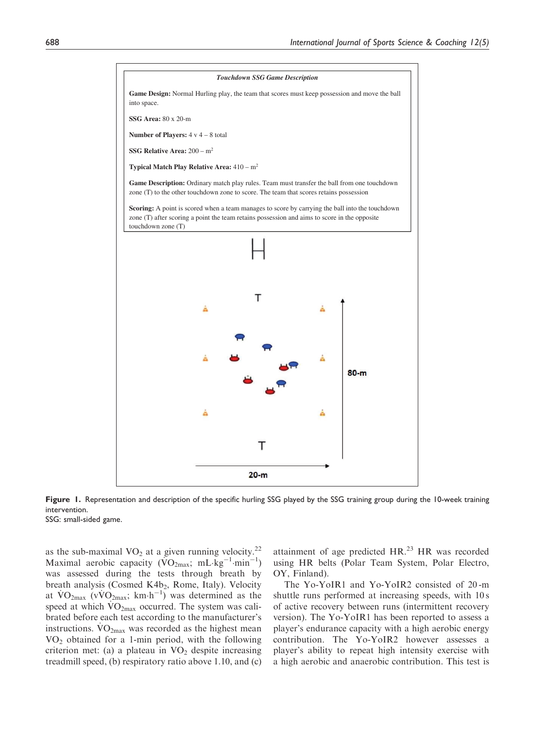

Figure 1. Representation and description of the specific hurling SSG played by the SSG training group during the 10-week training intervention.

SSG: small-sided game.

as the sub-maximal  $VO<sub>2</sub>$  at a given running velocity.<sup>22</sup> Maximal aerobic capacity ( $\rm \dot{VO}_{2max}; \; mL \cdot kg^{-1} \cdot min^{-1})$ was assessed during the tests through breath by breath analysis (Cosmed K4b<sub>2</sub>, Rome, Italy). Velocity at  $\text{VO}_{2\text{max}}$  (vVO<sub>2max</sub>; km·h<sup>-1</sup>) was determined as the speed at which  $VO<sub>2max</sub>$  occurred. The system was calibrated before each test according to the manufacturer's instructions.  $\rm{VO}_{2max}$  was recorded as the highest mean VO2 obtained for a 1-min period, with the following criterion met: (a) a plateau in  $VO<sub>2</sub>$  despite increasing treadmill speed, (b) respiratory ratio above 1.10, and (c) attainment of age predicted  $HR<sup>23</sup> HR$  was recorded using HR belts (Polar Team System, Polar Electro, OY, Finland).

The Yo-YoIR1 and Yo-YoIR2 consisted of 20 -m shuttle runs performed at increasing speeds, with 10 s of active recovery between runs (intermittent recovery version). The Yo-YoIR1 has been reported to assess a player's endurance capacity with a high aerobic energy contribution. The Yo-YoIR2 however assesses a player's ability to repeat high intensity exercise with a high aerobic and anaerobic contribution. This test is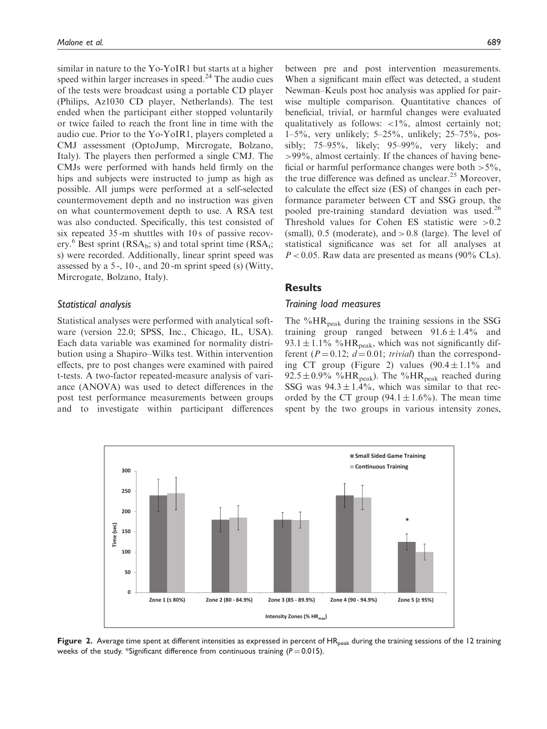similar in nature to the Yo-YoIR1 but starts at a higher speed within larger increases in speed. $^{24}$  The audio cues of the tests were broadcast using a portable CD player (Philips, Az1030 CD player, Netherlands). The test ended when the participant either stopped voluntarily or twice failed to reach the front line in time with the audio cue. Prior to the Yo-YoIR1, players completed a CMJ assessment (OptoJump, Mircrogate, Bolzano, Italy). The players then performed a single CMJ. The CMJs were performed with hands held firmly on the hips and subjects were instructed to jump as high as possible. All jumps were performed at a self-selected countermovement depth and no instruction was given on what countermovement depth to use. A RSA test was also conducted. Specifically, this test consisted of six repeated 35 -m shuttles with 10 s of passive recovery.<sup>6</sup> Best sprint (RSA<sub>b</sub>; s) and total sprint time (RSA<sub>t</sub>; s) were recorded. Additionally, linear sprint speed was assessed by a 5 -, 10 -, and 20 -m sprint speed (s) (Witty, Mircrogate, Bolzano, Italy).

## Statistical analysis

Statistical analyses were performed with analytical software (version 22.0; SPSS, Inc., Chicago, IL, USA). Each data variable was examined for normality distribution using a Shapiro–Wilks test. Within intervention effects, pre to post changes were examined with paired t-tests. A two-factor repeated-measure analysis of variance (ANOVA) was used to detect differences in the post test performance measurements between groups and to investigate within participant differences between pre and post intervention measurements. When a significant main effect was detected, a student Newman–Keuls post hoc analysis was applied for pairwise multiple comparison. Quantitative chances of beneficial, trivial, or harmful changes were evaluated qualitatively as follows:  $\langle 1\% \rangle$ , almost certainly not; 1–5%, very unlikely; 5–25%, unlikely; 25–75%, possibly; 75–95%, likely; 95–99%, very likely; and  $>99\%$ , almost certainly. If the chances of having beneficial or harmful performance changes were both  $>5\%$ . the true difference was defined as unclear. $^{25}$  Moreover, to calculate the effect size (ES) of changes in each performance parameter between CT and SSG group, the pooled pre-training standard deviation was used.<sup>26</sup> Threshold values for Cohen ES statistic were  $>0.2$ (small),  $0.5$  (moderate), and  $> 0.8$  (large). The level of statistical significance was set for all analyses at  $P < 0.05$ . Raw data are presented as means (90% CLs).

### **Results**

# Training load measures

The  $%HR_{peak}$  during the training sessions in the SSG training group ranged between  $91.6 \pm 1.4\%$  and  $93.1 \pm 1.1\%$  % HR<sub>peak</sub>, which was not significantly different ( $P = 0.12$ ;  $d = 0.01$ ; trivial) than the corresponding CT group (Figure 2) values  $(90.4 \pm 1.1\%$  and  $92.5 \pm 0.9\%$  % HR<sub>peak</sub>). The % HR<sub>peak</sub> reached during SSG was  $94.3 \pm 1.4\%$ , which was similar to that recorded by the CT group (94.1  $\pm$  1.6%). The mean time spent by the two groups in various intensity zones,



Figure 2. Average time spent at different intensities as expressed in percent of  $HR_{peak}$  during the training sessions of the 12 training weeks of the study. \*Significant difference from continuous training ( $P = 0.015$ ).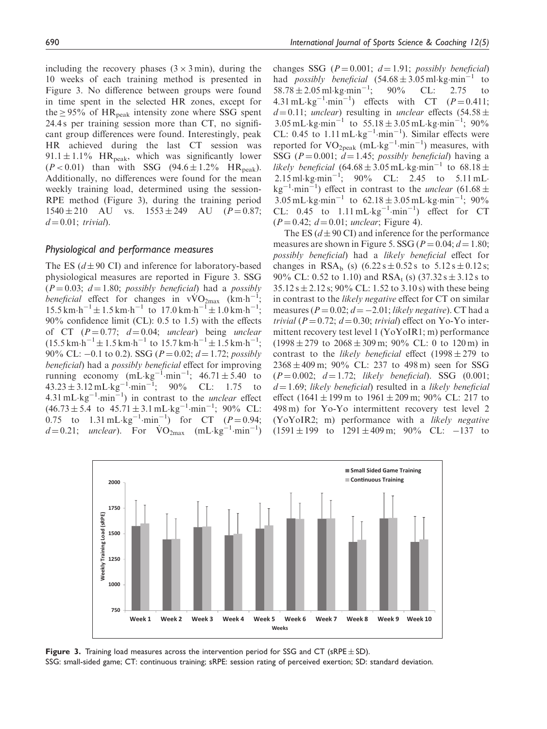including the recovery phases  $(3 \times 3 \text{ min})$ , during the 10 weeks of each training method is presented in Figure 3. No difference between groups were found in time spent in the selected HR zones, except for the  $\geq$  95% of HR<sub>peak</sub> intensity zone where SSG spent 24.4 s per training session more than CT, no significant group differences were found. Interestingly, peak HR achieved during the last CT session was  $91.1 \pm 1.1\%$  HR<sub>peak</sub>, which was significantly lower  $(P < 0.01)$  than with SSG  $(94.6 \pm 1.2\% \text{ HR}_{\text{peak}})$ . Additionally, no differences were found for the mean weekly training load, determined using the session-RPE method (Figure 3), during the training period  $1540 \pm 210$  AU  $\pm 210$  AU vs.  $1553 \pm 249$  AU (P = 0.87;  $d = 0.01$ ; trivial).

## Physiological and performance measures

The ES  $(d \pm 90 \text{ CI})$  and inference for laboratory-based physiological measures are reported in Figure 3. SSG  $(P = 0.03; d = 1.80; possibly beneficial)$  had a possibly beneficial effect for changes in  $vVO_{2max}$  (km·h<sup>-1</sup>;  $15.5 \text{ km} \cdot \text{h}^{-1} \pm 1.5 \text{ km} \cdot \text{h}^{-1}$  to  $17.0 \text{ km} \cdot \text{h}^{-1} \pm 1.0 \text{ km} \cdot \text{h}^{-1}$ ; 90% confidence limit (CL): 0.5 to 1.5) with the effects of CT  $(P=0.77; d=0.04;$  unclear) being unclear  $(15.5 \text{ km} \cdot \text{h}^{-1} \pm 1.5 \text{ km} \cdot \text{h}^{-1} \text{ to } 15.7 \text{ km} \cdot \text{h}^{-1} \pm 1.5 \text{ km} \cdot \text{h}^{-1};$ 90% CL:  $-0.1$  to 0.2). SSG ( $P = 0.02$ ;  $d = 1.72$ ; possibly beneficial) had a possibly beneficial effect for improving running economy  $(mL \cdot kg^{-1} \cdot min^{-1})$ ;  $46.71 \pm 5.40$  to  $43.23 \pm 3.12 \,\text{mL/kg}^{-1} \cdot \text{min}^{-1}$ ; 90% CL: 1.75 to  $4.31 \text{ mL} \cdot \text{kg}^{-1} \cdot \text{min}^{-1}$ ) in contrast to the *unclear* effect  $(46.73 \pm 5.4 \text{ to } 45.71 \pm 3.1 \text{ mL} \cdot \text{kg}^{-1} \cdot \text{min}^{-1}; 90\% \text{ CL}:$ 0.75 to  $1.31 \text{ mL} \cdot \text{kg}^{-1} \cdot \text{min}^{-1}$  for CT (P = 0.94;  $d = 0.21$ ; unclear). For  $\text{VO}_{2\text{max}}$  (mL·kg<sup>-1</sup>·min<sup>-1</sup>)

changes SSG ( $P = 0.001$ ;  $d = 1.91$ ; possibly beneficial) had *possibly beneficial*  $(54.68 \pm 3.05 \text{ ml} \cdot \text{kg} \cdot \text{min}^{-1}$  to  $58.78 \pm 2.05$  ml·kg·min<sup>-1</sup> ; 90% CL: 2.75 to  $4.31 \text{ mL} \cdot \text{kg}^{-1} \cdot \text{min}^{-1}$  effects with CT ( $P = 0.411$ ;  $d = 0.11$ ; unclear) resulting in unclear effects (54.58  $\pm$  $3.05 \text{ mL} \cdot \text{kg} \cdot \text{min}^{-1}$  to  $55.18 \pm 3.05 \text{ mL} \cdot \text{kg} \cdot \text{min}^{-1}$ ;  $90\%$ CL: 0.45 to  $1.11 \text{ mL} \cdot \text{kg}^{-1} \cdot \text{min}^{-1}$ ). Similar effects were reported for  $VO_{2peak}$  (mL·kg<sup>-1</sup>·min<sup>-1</sup>) measures, with SSG ( $P = 0.001$ ;  $d = 1.45$ ; possibly beneficial) having a likely beneficial  $(64.68 \pm 3.05 \,\mathrm{mL \cdot kg \cdot min^{-1}}$  to  $68.18 \pm$  $2.15 \text{ ml} \cdot \text{kg} \cdot \text{min}^{-1}$ ; 90% CL: 2.45 to 5.11 mL  $kg^{-1}$ ·min<sup>-1</sup>) effect in contrast to the *unclear* (61.68  $\pm$  $3.05 \text{ mL} \cdot \text{kg} \cdot \text{min}^{-1}$  to  $62.18 \pm 3.05 \text{ mL} \cdot \text{kg} \cdot \text{min}^{-1}$ ; 90% CL:  $0.45$  to  $1.11 \text{ mL} \cdot \text{kg}^{-1} \cdot \text{min}^{-1}$  effect for CT  $(P = 0.42; d = 0.01;$  unclear; Figure 4).

The ES ( $d \pm 90$  CI) and inference for the performance measures are shown in Figure 5. SSG ( $P = 0.04$ ;  $d = 1.80$ ; possibly beneficial) had a likely beneficial effect for changes in  $RSA_b$  (s)  $(6.22 s \pm 0.52 s)$  to  $5.12 s \pm 0.12 s$ ; 90% CL: 0.52 to 1.10) and  $RSA_t$  (s)  $(37.32 s \pm 3.12 s$  to  $35.12 s \pm 2.12 s$ ; 90% CL: 1.52 to 3.10 s) with these being in contrast to the likely negative effect for CT on similar measures ( $P = 0.02$ ;  $d = -2.01$ ; likely negative). CT had a *trivial* ( $P = 0.72$ ;  $d = 0.30$ ; *trivial*) effect on Yo-Yo intermittent recovery test level 1 (YoYoIR1; m) performance  $(1998 \pm 279)$  to  $2068 \pm 309$  m; 90% CL: 0 to 120 m) in contrast to the *likely beneficial* effect  $(1998 \pm 279)$  to  $2368 \pm 409 \,\text{m}$ ; 90% CL: 237 to 498 m) seen for SSG  $(P = 0.002; d = 1.72;$  likely beneficial). SSG  $(0.001;$  $d = 1.69$ ; likely beneficial) resulted in a likely beneficial effect  $(1641 \pm 199 \text{ m}$  to  $1961 \pm 209 \text{ m}$ ;  $90\%$  CL: 217 to 498 m) for Yo-Yo intermittent recovery test level 2 (YoYoIR2; m) performance with a likely negative  $(1591 \pm 199)$  to  $1291 \pm 409$  m;  $90\%$  CL:  $-137$  to





Figure 3. Training load measures across the intervention period for SSG and CT (sRPE  $\pm$  SD).

SSG: small-sided game; CT: continuous training; sRPE: session rating of perceived exertion; SD: standard deviation.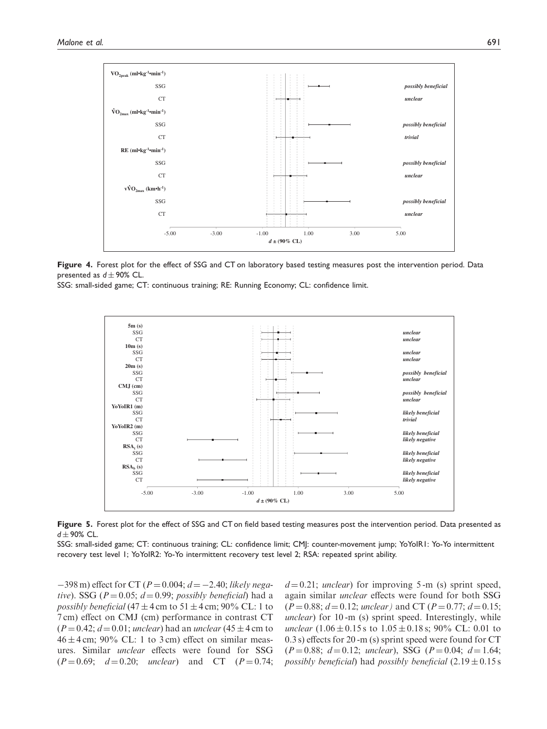

Figure 4. Forest plot for the effect of SSG and CT on laboratory based testing measures post the intervention period. Data presented as  $d$   $\pm$  90% CL.

SSG: small-sided game; CT: continuous training; RE: Running Economy; CL: confidence limit.



Figure 5. Forest plot for the effect of SSG and CT on field based testing measures post the intervention period. Data presented as d  $\pm$  90% CL.

SSG: small-sided game; CT: continuous training; CL: confidence limit; CMJ: counter-movement jump; YoYoIR1: Yo-Yo intermittent recovery test level 1; YoYoIR2: Yo-Yo intermittent recovery test level 2; RSA: repeated sprint ability.

 $-398$  m) effect for CT ( $P = 0.004$ ;  $d = -2.40$ ; likely negative). SSG ( $P = 0.05$ ;  $d = 0.99$ ; possibly beneficial) had a *possibly beneficial* (47  $\pm$  4 cm to 51  $\pm$  4 cm; 90% CL: 1 to 7 cm) effect on CMJ (cm) performance in contrast CT  $(P=0.42; d=0.01;$  unclear) had an unclear  $(45 \pm 4 \text{ cm to})$  $46 \pm 4$  cm; 90% CL: 1 to 3 cm) effect on similar measures. Similar unclear effects were found for SSG  $(P = 0.69; d = 0.20;$  unclear) and CT  $(P = 0.74;$   $d = 0.21$ ; *unclear*) for improving 5 -m (s) sprint speed, again similar unclear effects were found for both SSG  $(P = 0.88; d = 0.12;$  unclear) and CT  $(P = 0.77; d = 0.15;$ unclear) for 10-m (s) sprint speed. Interestingly, while unclear  $(1.06 \pm 0.15 \text{ s to } 1.05 \pm 0.18 \text{ s}; 90\% \text{ CL}: 0.01 \text{ to } 0.01 \text{ s})$ 0.3 s) effects for 20 -m (s) sprint speed were found for CT  $(P = 0.88; d = 0.12;$  unclear), SSG  $(P = 0.04; d = 1.64;$ possibly beneficial) had possibly beneficial  $(2.19 \pm 0.15 s)$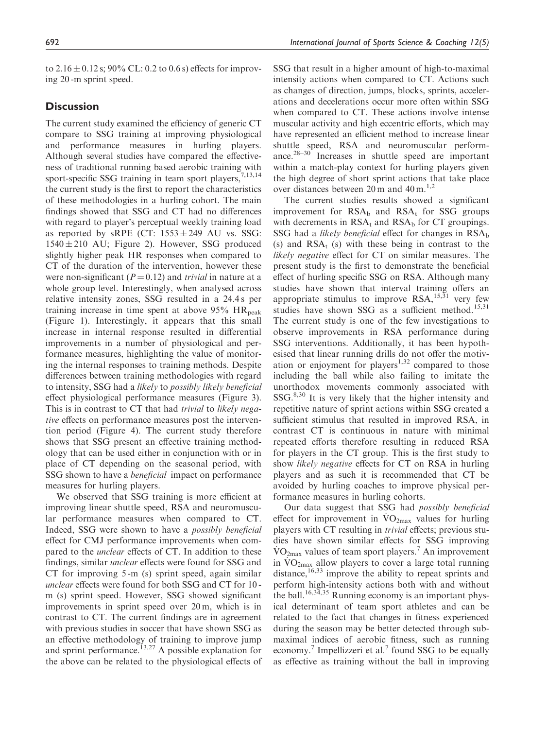to 2.16  $\pm$  0.12 s; 90% CL: 0.2 to 0.6 s) effects for improving 20 -m sprint speed.

# **Discussion**

The current study examined the efficiency of generic CT compare to SSG training at improving physiological and performance measures in hurling players. Although several studies have compared the effectiveness of traditional running based aerobic training with sport-specific SSG training in team sport players,  $7,13,14$ the current study is the first to report the characteristics of these methodologies in a hurling cohort. The main findings showed that SSG and CT had no differences with regard to player's perceptual weekly training load as reported by sRPE (CT:  $1553 \pm 249$  AU vs. SSG:  $1540 \pm 210$  AU; Figure 2). However, SSG produced slightly higher peak HR responses when compared to CT of the duration of the intervention, however these were non-significant ( $P = 0.12$ ) and *trivial* in nature at a whole group level. Interestingly, when analysed across relative intensity zones, SSG resulted in a 24.4 s per training increase in time spent at above  $95\%$  HR<sub>peak</sub> (Figure 1). Interestingly, it appears that this small increase in internal response resulted in differential improvements in a number of physiological and performance measures, highlighting the value of monitoring the internal responses to training methods. Despite differences between training methodologies with regard to intensity, SSG had a likely to possibly likely beneficial effect physiological performance measures (Figure 3). This is in contrast to CT that had *trivial* to *likely nega*tive effects on performance measures post the intervention period (Figure 4). The current study therefore shows that SSG present an effective training methodology that can be used either in conjunction with or in place of CT depending on the seasonal period, with SSG shown to have a *beneficial* impact on performance measures for hurling players.

We observed that SSG training is more efficient at improving linear shuttle speed, RSA and neuromuscular performance measures when compared to CT. Indeed, SSG were shown to have a possibly beneficial effect for CMJ performance improvements when compared to the unclear effects of CT. In addition to these findings, similar unclear effects were found for SSG and CT for improving 5 -m (s) sprint speed, again similar unclear effects were found for both SSG and CT for 10 m (s) sprint speed. However, SSG showed significant improvements in sprint speed over 20 m, which is in contrast to CT. The current findings are in agreement with previous studies in soccer that have shown SSG as an effective methodology of training to improve jump and sprint performance.<sup>13,27</sup> A possible explanation for the above can be related to the physiological effects of SSG that result in a higher amount of high-to-maximal intensity actions when compared to CT. Actions such as changes of direction, jumps, blocks, sprints, accelerations and decelerations occur more often within SSG when compared to CT. These actions involve intense muscular activity and high eccentric efforts, which may have represented an efficient method to increase linear shuttle speed, RSA and neuromuscular performance.28–30 Increases in shuttle speed are important within a match-play context for hurling players given the high degree of short sprint actions that take place over distances between  $20 \text{ m}$  and  $40 \text{ m}$ .<sup>1,2</sup>

The current studies results showed a significant improvement for  $RSA_b$  and  $RSA_t$  for SSG groups with decrements in  $RSA_t$  and  $RSA_b$  for CT groupings. SSG had a likely beneficial effect for changes in  $RSA<sub>b</sub>$ (s) and  $RSA_{t}$  (s) with these being in contrast to the likely negative effect for CT on similar measures. The present study is the first to demonstrate the beneficial effect of hurling specific SSG on RSA. Although many studies have shown that interval training offers an appropriate stimulus to improve  $RSA$ ,  $15,31$  very few studies have shown SSG as a sufficient method.<sup>15,31</sup> The current study is one of the few investigations to observe improvements in RSA performance during SSG interventions. Additionally, it has been hypothesised that linear running drills do not offer the motivation or enjoyment for players<sup>1,32</sup> compared to those including the ball while also failing to imitate the unorthodox movements commonly associated with  $SSG<sup>8,30</sup>$  It is very likely that the higher intensity and repetitive nature of sprint actions within SSG created a sufficient stimulus that resulted in improved RSA, in contrast CT is continuous in nature with minimal repeated efforts therefore resulting in reduced RSA for players in the CT group. This is the first study to show likely negative effects for CT on RSA in hurling players and as such it is recommended that CT be avoided by hurling coaches to improve physical performance measures in hurling cohorts.

Our data suggest that SSG had possibly beneficial effect for improvement in  $\rm{VO}_{2max}$  values for hurling players with CT resulting in trivial effects; previous studies have shown similar effects for SSG improving  $\rm{VO_{2max}}$  values of team sport players.<sup>7</sup> An improvement in  $\rm{VO_{2max}}$  allow players to cover a large total running distance, $16,33$  improve the ability to repeat sprints and perform high-intensity actions both with and without the ball.<sup>16,34,35</sup> Running economy is an important physical determinant of team sport athletes and can be related to the fact that changes in fitness experienced during the season may be better detected through submaximal indices of aerobic fitness, such as running economy.<sup>7</sup> Impellizzeri et al.<sup>7</sup> found SSG to be equally as effective as training without the ball in improving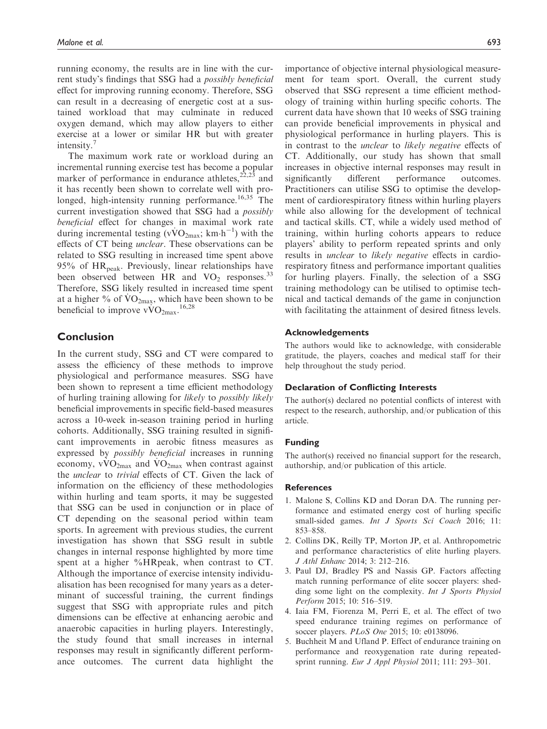running economy, the results are in line with the current study's findings that SSG had a possibly beneficial effect for improving running economy. Therefore, SSG can result in a decreasing of energetic cost at a sustained workload that may culminate in reduced oxygen demand, which may allow players to either exercise at a lower or similar HR but with greater intensity.<sup>7</sup>

The maximum work rate or workload during an incremental running exercise test has become a popular marker of performance in endurance athletes, $22,23$  and it has recently been shown to correlate well with prolonged, high-intensity running performance.<sup>16,35</sup> The current investigation showed that SSG had a possibly beneficial effect for changes in maximal work rate during incremental testing (v $\dot{V}O_{2\text{max}}$ ; km $\cdot$ h<sup>-1</sup>) with the effects of CT being unclear. These observations can be related to SSG resulting in increased time spent above 95% of  $HR_{peak}$ . Previously, linear relationships have been observed between HR and  $VO<sub>2</sub>$  responses.<sup>33</sup> Therefore, SSG likely resulted in increased time spent at a higher % of  $\rm\dot{VO}_{2max}$ , which have been shown to be beneficial to improve  $\dot{V}O_{2\text{max}}$ .<sup>16,28</sup>

# **Conclusion**

In the current study, SSG and CT were compared to assess the efficiency of these methods to improve physiological and performance measures. SSG have been shown to represent a time efficient methodology of hurling training allowing for likely to possibly likely beneficial improvements in specific field-based measures across a 10-week in-season training period in hurling cohorts. Additionally, SSG training resulted in significant improvements in aerobic fitness measures as expressed by possibly beneficial increases in running economy,  $\rm vVO_{2max}$  and  $\rm VO_{2max}$  when contrast against the unclear to trivial effects of CT. Given the lack of information on the efficiency of these methodologies within hurling and team sports, it may be suggested that SSG can be used in conjunction or in place of CT depending on the seasonal period within team sports. In agreement with previous studies, the current investigation has shown that SSG result in subtle changes in internal response highlighted by more time spent at a higher %HRpeak, when contrast to CT. Although the importance of exercise intensity individualisation has been recognised for many years as a determinant of successful training, the current findings suggest that SSG with appropriate rules and pitch dimensions can be effective at enhancing aerobic and anaerobic capacities in hurling players. Interestingly, the study found that small increases in internal responses may result in significantly different performance outcomes. The current data highlight the importance of objective internal physiological measurement for team sport. Overall, the current study observed that SSG represent a time efficient methodology of training within hurling specific cohorts. The current data have shown that 10 weeks of SSG training can provide beneficial improvements in physical and physiological performance in hurling players. This is in contrast to the unclear to likely negative effects of CT. Additionally, our study has shown that small increases in objective internal responses may result in significantly different performance outcomes. Practitioners can utilise SSG to optimise the development of cardiorespiratory fitness within hurling players while also allowing for the development of technical and tactical skills. CT, while a widely used method of training, within hurling cohorts appears to reduce players' ability to perform repeated sprints and only results in unclear to likely negative effects in cardiorespiratory fitness and performance important qualities for hurling players. Finally, the selection of a SSG training methodology can be utilised to optimise technical and tactical demands of the game in conjunction with facilitating the attainment of desired fitness levels.

#### Acknowledgements

The authors would like to acknowledge, with considerable gratitude, the players, coaches and medical staff for their help throughout the study period.

#### Declaration of Conflicting Interests

The author(s) declared no potential conflicts of interest with respect to the research, authorship, and/or publication of this article.

#### Funding

The author(s) received no financial support for the research, authorship, and/or publication of this article.

#### References

- 1. Malone S, Collins KD and Doran DA. The running performance and estimated energy cost of hurling specific small-sided games. Int J Sports Sci Coach 2016; 11: 853–858.
- 2. Collins DK, Reilly TP, Morton JP, et al. Anthropometric and performance characteristics of elite hurling players. J Athl Enhanc 2014; 3: 212–216.
- 3. Paul DJ, Bradley PS and Nassis GP. Factors affecting match running performance of elite soccer players: shedding some light on the complexity. Int J Sports Physiol Perform 2015; 10: 516–519.
- 4. Iaia FM, Fiorenza M, Perri E, et al. The effect of two speed endurance training regimes on performance of soccer players. PLoS One 2015; 10: e0138096.
- 5. Buchheit M and Ufland P. Effect of endurance training on performance and reoxygenation rate during repeatedsprint running. Eur J Appl Physiol 2011; 111: 293–301.